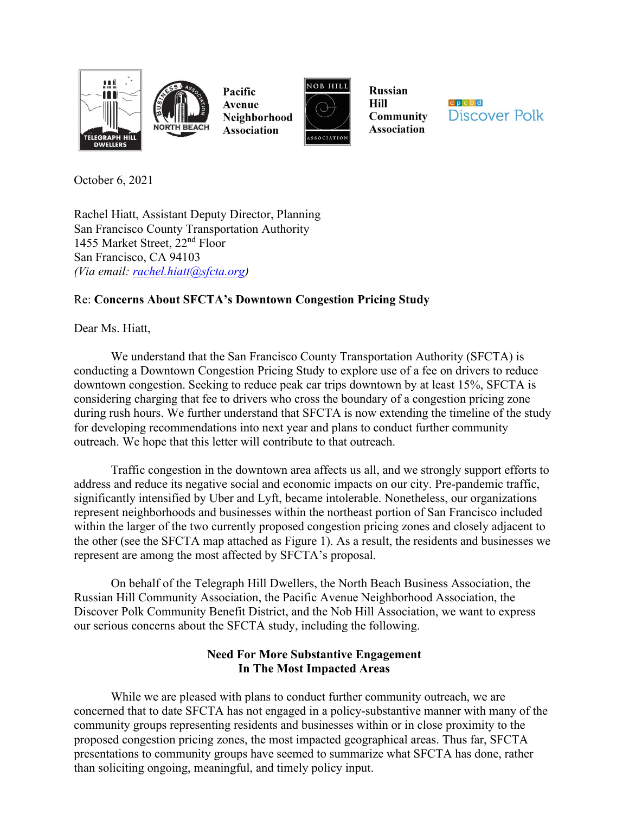



Pacific Avenue Neighborhood **Association** 



**Russian** Hill **Community Association** 



October 6, 2021

Rachel Hiatt, Assistant Deputy Director, Planning San Francisco County Transportation Authority 1455 Market Street, 22nd Floor San Francisco, CA 94103 *(Via email: [rachel.hiatt@sfcta.org\)](mailto:rachel.hiatt@sfcta.org)*

# Re: **Concerns About SFCTA's Downtown Congestion Pricing Study**

Dear Ms. Hiatt,

We understand that the San Francisco County Transportation Authority (SFCTA) is conducting a Downtown Congestion Pricing Study to explore use of a fee on drivers to reduce downtown congestion. Seeking to reduce peak car trips downtown by at least 15%, SFCTA is considering charging that fee to drivers who cross the boundary of a congestion pricing zone during rush hours. We further understand that SFCTA is now extending the timeline of the study for developing recommendations into next year and plans to conduct further community outreach. We hope that this letter will contribute to that outreach.

Traffic congestion in the downtown area affects us all, and we strongly support efforts to address and reduce its negative social and economic impacts on our city. Pre-pandemic traffic, significantly intensified by Uber and Lyft, became intolerable. Nonetheless, our organizations represent neighborhoods and businesses within the northeast portion of San Francisco included within the larger of the two currently proposed congestion pricing zones and closely adjacent to the other (see the SFCTA map attached as Figure 1). As a result, the residents and businesses we represent are among the most affected by SFCTA's proposal.

On behalf of the Telegraph Hill Dwellers, the North Beach Business Association, the Russian Hill Community Association, the Pacific Avenue Neighborhood Association, the Discover Polk Community Benefit District, and the Nob Hill Association, we want to express our serious concerns about the SFCTA study, including the following.

## **Need For More Substantive Engagement In The Most Impacted Areas**

While we are pleased with plans to conduct further community outreach, we are concerned that to date SFCTA has not engaged in a policy-substantive manner with many of the community groups representing residents and businesses within or in close proximity to the proposed congestion pricing zones, the most impacted geographical areas. Thus far, SFCTA presentations to community groups have seemed to summarize what SFCTA has done, rather than soliciting ongoing, meaningful, and timely policy input.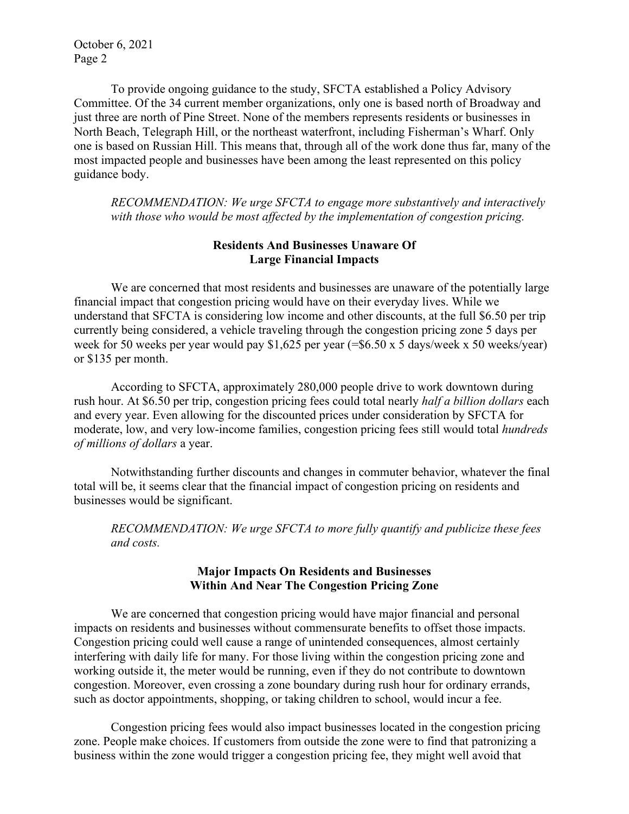To provide ongoing guidance to the study, SFCTA established a Policy Advisory Committee. Of the 34 current member organizations, only one is based north of Broadway and just three are north of Pine Street. None of the members represents residents or businesses in North Beach, Telegraph Hill, or the northeast waterfront, including Fisherman's Wharf. Only one is based on Russian Hill. This means that, through all of the work done thus far, many of the most impacted people and businesses have been among the least represented on this policy guidance body.

*RECOMMENDATION: We urge SFCTA to engage more substantively and interactively with those who would be most affected by the implementation of congestion pricing.*

## **Residents And Businesses Unaware Of Large Financial Impacts**

We are concerned that most residents and businesses are unaware of the potentially large financial impact that congestion pricing would have on their everyday lives. While we understand that SFCTA is considering low income and other discounts, at the full \$6.50 per trip currently being considered, a vehicle traveling through the congestion pricing zone 5 days per week for 50 weeks per year would pay \$1,625 per year (=\$6.50 x 5 days/week x 50 weeks/year) or \$135 per month.

According to SFCTA, approximately 280,000 people drive to work downtown during rush hour. At \$6.50 per trip, congestion pricing fees could total nearly *half a billion dollars* each and every year. Even allowing for the discounted prices under consideration by SFCTA for moderate, low, and very low-income families, congestion pricing fees still would total *hundreds of millions of dollars* a year.

Notwithstanding further discounts and changes in commuter behavior, whatever the final total will be, it seems clear that the financial impact of congestion pricing on residents and businesses would be significant.

*RECOMMENDATION: We urge SFCTA to more fully quantify and publicize these fees and costs.*

## **Major Impacts On Residents and Businesses Within And Near The Congestion Pricing Zone**

We are concerned that congestion pricing would have major financial and personal impacts on residents and businesses without commensurate benefits to offset those impacts. Congestion pricing could well cause a range of unintended consequences, almost certainly interfering with daily life for many. For those living within the congestion pricing zone and working outside it, the meter would be running, even if they do not contribute to downtown congestion. Moreover, even crossing a zone boundary during rush hour for ordinary errands, such as doctor appointments, shopping, or taking children to school, would incur a fee.

Congestion pricing fees would also impact businesses located in the congestion pricing zone. People make choices. If customers from outside the zone were to find that patronizing a business within the zone would trigger a congestion pricing fee, they might well avoid that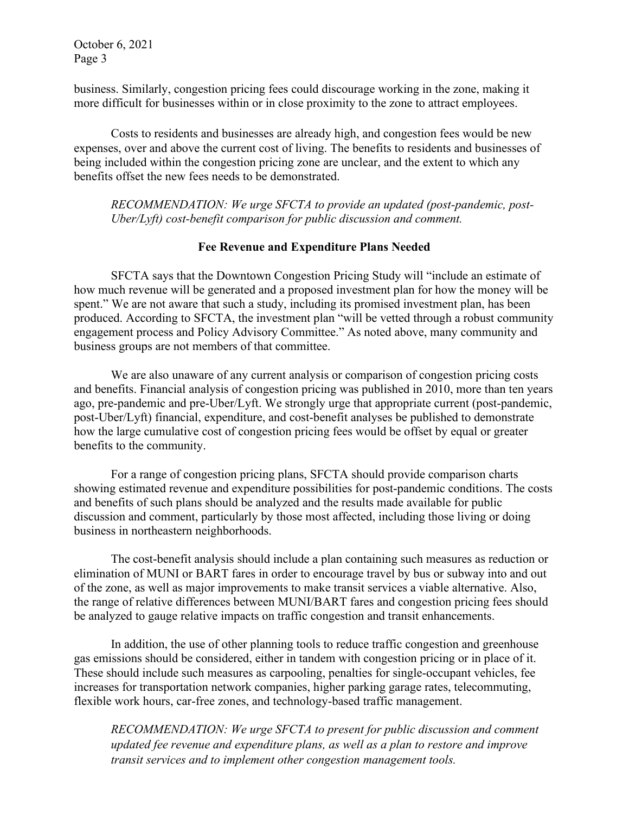business. Similarly, congestion pricing fees could discourage working in the zone, making it more difficult for businesses within or in close proximity to the zone to attract employees.

Costs to residents and businesses are already high, and congestion fees would be new expenses, over and above the current cost of living. The benefits to residents and businesses of being included within the congestion pricing zone are unclear, and the extent to which any benefits offset the new fees needs to be demonstrated.

*RECOMMENDATION: We urge SFCTA to provide an updated (post-pandemic, post-Uber/Lyft) cost-benefit comparison for public discussion and comment.*

#### **Fee Revenue and Expenditure Plans Needed**

SFCTA says that the Downtown Congestion Pricing Study will "include an estimate of how much revenue will be generated and a proposed investment plan for how the money will be spent." We are not aware that such a study, including its promised investment plan, has been produced. According to SFCTA, the investment plan "will be vetted through a robust community engagement process and Policy Advisory Committee." As noted above, many community and business groups are not members of that committee.

We are also unaware of any current analysis or comparison of congestion pricing costs and benefits. Financial analysis of congestion pricing was published in 2010, more than ten years ago, pre-pandemic and pre-Uber/Lyft. We strongly urge that appropriate current (post-pandemic, post-Uber/Lyft) financial, expenditure, and cost-benefit analyses be published to demonstrate how the large cumulative cost of congestion pricing fees would be offset by equal or greater benefits to the community.

For a range of congestion pricing plans, SFCTA should provide comparison charts showing estimated revenue and expenditure possibilities for post-pandemic conditions. The costs and benefits of such plans should be analyzed and the results made available for public discussion and comment, particularly by those most affected, including those living or doing business in northeastern neighborhoods.

The cost-benefit analysis should include a plan containing such measures as reduction or elimination of MUNI or BART fares in order to encourage travel by bus or subway into and out of the zone, as well as major improvements to make transit services a viable alternative. Also, the range of relative differences between MUNI/BART fares and congestion pricing fees should be analyzed to gauge relative impacts on traffic congestion and transit enhancements.

In addition, the use of other planning tools to reduce traffic congestion and greenhouse gas emissions should be considered, either in tandem with congestion pricing or in place of it. These should include such measures as carpooling, penalties for single-occupant vehicles, fee increases for transportation network companies, higher parking garage rates, telecommuting, flexible work hours, car-free zones, and technology-based traffic management.

*RECOMMENDATION: We urge SFCTA to present for public discussion and comment updated fee revenue and expenditure plans, as well as a plan to restore and improve transit services and to implement other congestion management tools.*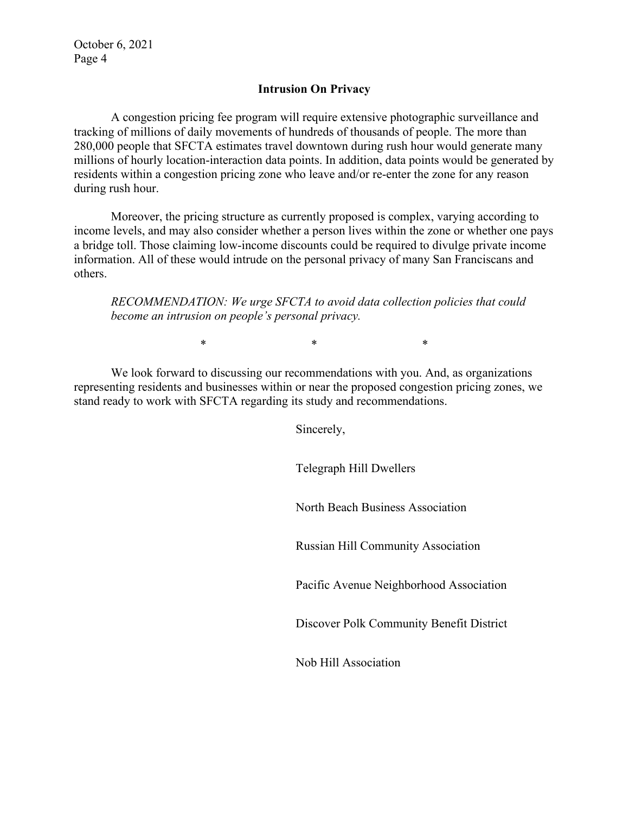#### **Intrusion On Privacy**

A congestion pricing fee program will require extensive photographic surveillance and tracking of millions of daily movements of hundreds of thousands of people. The more than 280,000 people that SFCTA estimates travel downtown during rush hour would generate many millions of hourly location-interaction data points. In addition, data points would be generated by residents within a congestion pricing zone who leave and/or re-enter the zone for any reason during rush hour.

Moreover, the pricing structure as currently proposed is complex, varying according to income levels, and may also consider whether a person lives within the zone or whether one pays a bridge toll. Those claiming low-income discounts could be required to divulge private income information. All of these would intrude on the personal privacy of many San Franciscans and others.

*RECOMMENDATION: We urge SFCTA to avoid data collection policies that could become an intrusion on people's personal privacy.*

 $*$  \*  $*$  \*

We look forward to discussing our recommendations with you. And, as organizations representing residents and businesses within or near the proposed congestion pricing zones, we stand ready to work with SFCTA regarding its study and recommendations.

Sincerely,

Telegraph Hill Dwellers

North Beach Business Association

Russian Hill Community Association

Pacific Avenue Neighborhood Association

Discover Polk Community Benefit District

Nob Hill Association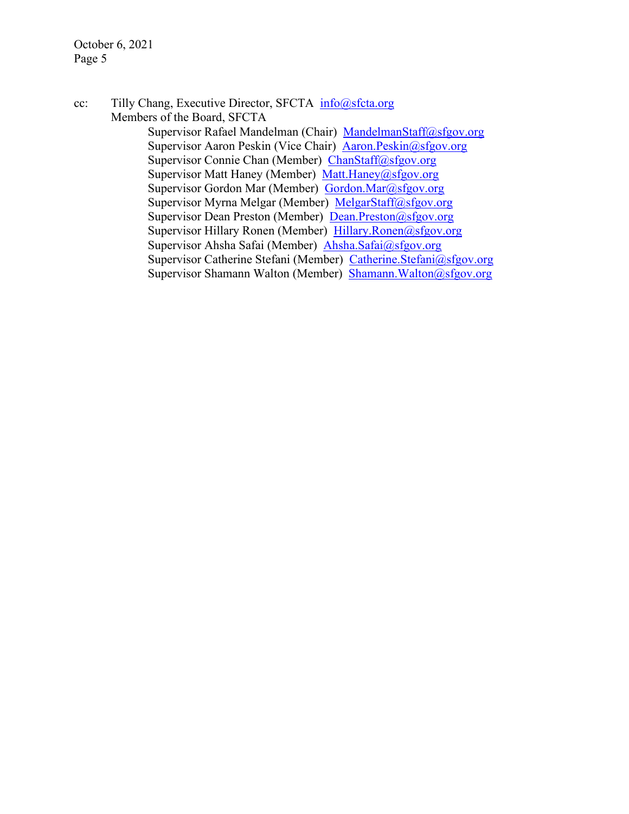cc: Tilly Chang, Executive Director, SFCTA [info@sfcta.org](mailto:info@sfcta.org) Members of the Board, SFCTA

> Supervisor Rafael Mandelman (Chair) [MandelmanStaff@sfgov.org](mailto:MandelmanStaff@sfgov.org) Supervisor Aaron Peskin (Vice Chair) [Aaron.Peskin@sfgov.org](mailto:Aaron.Peskin@sfgov.org) Supervisor Connie Chan (Member) [ChanStaff@sfgov.org](mailto:ChanStaff@sfgov.org) Supervisor Matt Haney (Member) [Matt.Haney@sfgov.org](mailto:Matt.Haney@sfgov.org) Supervisor Gordon Mar (Member) [Gordon.Mar@sfgov.org](mailto:Gordon.Mar@sfgov.org) Supervisor Myrna Melgar (Member) [MelgarStaff@sfgov.org](mailto:MelgarStaff@sfgov.org) Supervisor Dean Preston (Member) [Dean.Preston@sfgov.org](mailto:Dean.Preston@sfgov.org) Supervisor Hillary Ronen (Member) [Hillary.Ronen@sfgov.org](mailto:Hillary.Ronen@sfgov.org) Supervisor Ahsha Safai (Member) [Ahsha.Safai@sfgov.org](mailto:Ahsha.Safai@sfgov.org) Supervisor Catherine Stefani (Member) [Catherine.Stefani@sfgov.org](mailto:Catherine.Stefani@sfgov.org) Supervisor Shamann Walton (Member) [Shamann.Walton@sfgov.org](mailto:Shamann.Walton@sfgov.org)